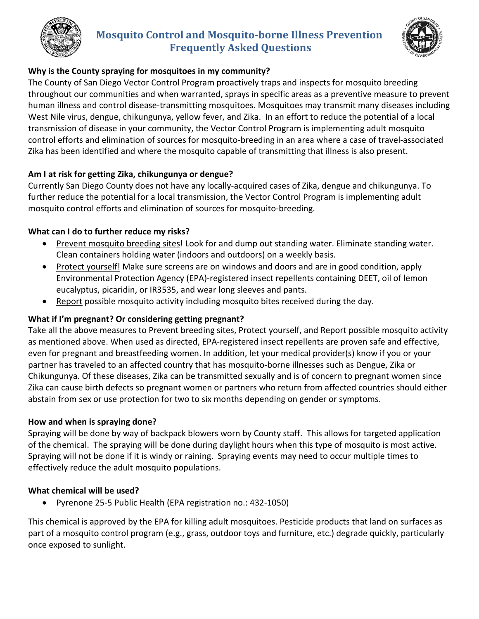

# **Mosquito Control and Mosquito-borne Illness Prevention Frequently Asked Questions**



# **Why is the County spraying for mosquitoes in my community?**

The County of San Diego Vector Control Program proactively traps and inspects for mosquito breeding throughout our communities and when warranted, sprays in specific areas as a preventive measure to prevent human illness and control disease-transmitting mosquitoes. Mosquitoes may transmit many diseases including West Nile virus, dengue, chikungunya, yellow fever, and Zika. In an effort to reduce the potential of a local transmission of disease in your community, the Vector Control Program is implementing adult mosquito control efforts and elimination of sources for mosquito-breeding in an area where a case of travel-associated Zika has been identified and where the mosquito capable of transmitting that illness is also present.

# **Am I at risk for getting Zika, chikungunya or dengue?**

Currently San Diego County does not have any locally-acquired cases of Zika, dengue and chikungunya. To further reduce the potential for a local transmission, the Vector Control Program is implementing adult mosquito control efforts and elimination of sources for mosquito-breeding.

# **What can I do to further reduce my risks?**

- Prevent mosquito breeding sites! Look for and dump out standing water. Eliminate standing water. Clean containers holding water (indoors and outdoors) on a weekly basis.
- Protect yourself! Make sure screens are on windows and doors and are in good condition, apply Environmental Protection Agency (EPA)-registered insect repellents containing DEET, oil of lemon eucalyptus, picaridin, or IR3535, and wear long sleeves and pants.
- Report possible mosquito activity including mosquito bites received during the day.

# **What if I'm pregnant? Or considering getting pregnant?**

Take all the above measures to Prevent breeding sites, Protect yourself, and Report possible mosquito activity as mentioned above. When used as directed, EPA-registered insect repellents are proven safe and effective, even for pregnant and breastfeeding women. In addition, let your medical provider(s) know if you or your partner has traveled to an affected country that has mosquito-borne illnesses such as Dengue, Zika or Chikungunya. Of these diseases, Zika can be transmitted sexually and is of concern to pregnant women since Zika can cause birth defects so pregnant women or partners who return from affected countries should either abstain from sex or use protection for two to six months depending on gender or symptoms.

## **How and when is spraying done?**

Spraying will be done by way of backpack blowers worn by County staff. This allows for targeted application of the chemical. The spraying will be done during daylight hours when this type of mosquito is most active. Spraying will not be done if it is windy or raining. Spraying events may need to occur multiple times to effectively reduce the adult mosquito populations.

## **What chemical will be used?**

• Pyrenone 25-5 Public Health (EPA registration no.: 432-1050)

This chemical is approved by the EPA for killing adult mosquitoes. Pesticide products that land on surfaces as part of a mosquito control program (e.g., grass, outdoor toys and furniture, etc.) degrade quickly, particularly once exposed to sunlight.